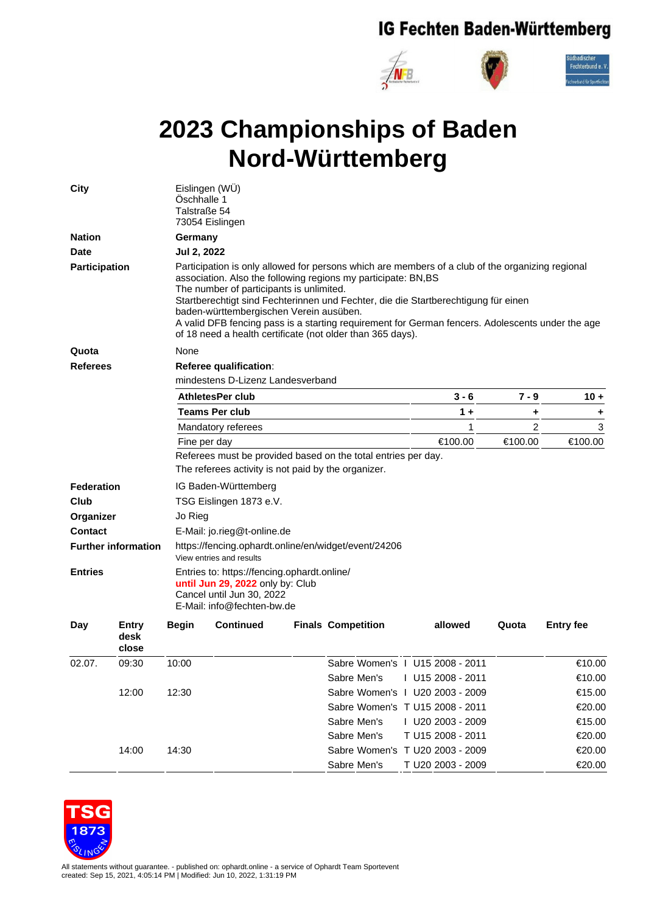## IG Fechten Baden-Württemberg



## **2023 Championships of Baden Nord-Württemberg**

| <b>City</b>                  |                               | Eislingen (WU)<br>Öschhalle 1<br>Talstraße 54<br>73054 Eislingen                                                                                                                                                                                                                                                                                                                                                                                                                                                 |                         |  |                                 |                   |         |         |                  |  |  |
|------------------------------|-------------------------------|------------------------------------------------------------------------------------------------------------------------------------------------------------------------------------------------------------------------------------------------------------------------------------------------------------------------------------------------------------------------------------------------------------------------------------------------------------------------------------------------------------------|-------------------------|--|---------------------------------|-------------------|---------|---------|------------------|--|--|
| <b>Nation</b>                |                               | Germany                                                                                                                                                                                                                                                                                                                                                                                                                                                                                                          |                         |  |                                 |                   |         |         |                  |  |  |
| <b>Date</b><br>Participation |                               | Jul 2, 2022                                                                                                                                                                                                                                                                                                                                                                                                                                                                                                      |                         |  |                                 |                   |         |         |                  |  |  |
|                              |                               | Participation is only allowed for persons which are members of a club of the organizing regional<br>association. Also the following regions my participate: BN,BS<br>The number of participants is unlimited.<br>Startberechtigt sind Fechterinnen und Fechter, die die Startberechtigung für einen<br>baden-württembergischen Verein ausüben.<br>A valid DFB fencing pass is a starting requirement for German fencers. Adolescents under the age<br>of 18 need a health certificate (not older than 365 days). |                         |  |                                 |                   |         |         |                  |  |  |
| Quota                        |                               | None                                                                                                                                                                                                                                                                                                                                                                                                                                                                                                             |                         |  |                                 |                   |         |         |                  |  |  |
| <b>Referees</b>              |                               | Referee qualification:                                                                                                                                                                                                                                                                                                                                                                                                                                                                                           |                         |  |                                 |                   |         |         |                  |  |  |
|                              |                               | mindestens D-Lizenz Landesverband                                                                                                                                                                                                                                                                                                                                                                                                                                                                                |                         |  |                                 |                   |         |         |                  |  |  |
|                              |                               |                                                                                                                                                                                                                                                                                                                                                                                                                                                                                                                  | <b>AthletesPer club</b> |  | 3 - 6                           |                   | $7 - 9$ | $10 +$  |                  |  |  |
|                              |                               |                                                                                                                                                                                                                                                                                                                                                                                                                                                                                                                  | Teams Per club          |  |                                 | 1 +               | ٠       | ٠       |                  |  |  |
|                              |                               |                                                                                                                                                                                                                                                                                                                                                                                                                                                                                                                  | Mandatory referees      |  |                                 | 1                 | 2       | 3       |                  |  |  |
|                              |                               | Fine per day                                                                                                                                                                                                                                                                                                                                                                                                                                                                                                     |                         |  | €100.00                         |                   | €100.00 | €100.00 |                  |  |  |
|                              |                               | Referees must be provided based on the total entries per day.                                                                                                                                                                                                                                                                                                                                                                                                                                                    |                         |  |                                 |                   |         |         |                  |  |  |
|                              |                               | The referees activity is not paid by the organizer.                                                                                                                                                                                                                                                                                                                                                                                                                                                              |                         |  |                                 |                   |         |         |                  |  |  |
| <b>Federation</b>            |                               | IG Baden-Württemberg                                                                                                                                                                                                                                                                                                                                                                                                                                                                                             |                         |  |                                 |                   |         |         |                  |  |  |
| Club                         |                               | TSG Eislingen 1873 e.V.                                                                                                                                                                                                                                                                                                                                                                                                                                                                                          |                         |  |                                 |                   |         |         |                  |  |  |
| Organizer                    |                               | Jo Rieg                                                                                                                                                                                                                                                                                                                                                                                                                                                                                                          |                         |  |                                 |                   |         |         |                  |  |  |
| <b>Contact</b>               |                               | E-Mail: jo.rieg@t-online.de                                                                                                                                                                                                                                                                                                                                                                                                                                                                                      |                         |  |                                 |                   |         |         |                  |  |  |
| <b>Further information</b>   |                               | https://fencing.ophardt.online/en/widget/event/24206<br>View entries and results                                                                                                                                                                                                                                                                                                                                                                                                                                 |                         |  |                                 |                   |         |         |                  |  |  |
| <b>Entries</b>               |                               | Entries to: https://fencing.ophardt.online/<br>until Jun 29, 2022 only by: Club<br>Cancel until Jun 30, 2022<br>E-Mail: info@fechten-bw.de                                                                                                                                                                                                                                                                                                                                                                       |                         |  |                                 |                   |         |         |                  |  |  |
| Day                          | <b>Entry</b><br>desk<br>close | <b>Begin</b>                                                                                                                                                                                                                                                                                                                                                                                                                                                                                                     | <b>Continued</b>        |  | <b>Finals Competition</b>       | allowed           |         | Quota   | <b>Entry fee</b> |  |  |
| 02.07.                       | 09:30                         | 10:00                                                                                                                                                                                                                                                                                                                                                                                                                                                                                                            |                         |  | Sabre Women's 1 U15 2008 - 2011 |                   |         |         | €10.00           |  |  |
|                              |                               |                                                                                                                                                                                                                                                                                                                                                                                                                                                                                                                  |                         |  | Sabre Men's                     | I U15 2008 - 2011 |         |         | €10.00           |  |  |
|                              | 12:00                         | 12:30                                                                                                                                                                                                                                                                                                                                                                                                                                                                                                            |                         |  | Sabre Women's   U20 2003 - 2009 |                   |         |         | €15.00           |  |  |
|                              |                               |                                                                                                                                                                                                                                                                                                                                                                                                                                                                                                                  |                         |  | Sabre Women's T U15 2008 - 2011 |                   |         |         | €20.00           |  |  |
|                              |                               |                                                                                                                                                                                                                                                                                                                                                                                                                                                                                                                  |                         |  | Sabre Men's                     | I U20 2003 - 2009 |         |         | €15.00           |  |  |
|                              |                               |                                                                                                                                                                                                                                                                                                                                                                                                                                                                                                                  |                         |  | Sabre Men's                     | T U15 2008 - 2011 |         |         | €20.00           |  |  |
|                              | 14:00                         | 14:30                                                                                                                                                                                                                                                                                                                                                                                                                                                                                                            |                         |  | Sabre Women's T U20 2003 - 2009 |                   |         |         | €20.00           |  |  |
|                              |                               |                                                                                                                                                                                                                                                                                                                                                                                                                                                                                                                  |                         |  | Sabre Men's                     | T U20 2003 - 2009 |         |         | €20.00           |  |  |